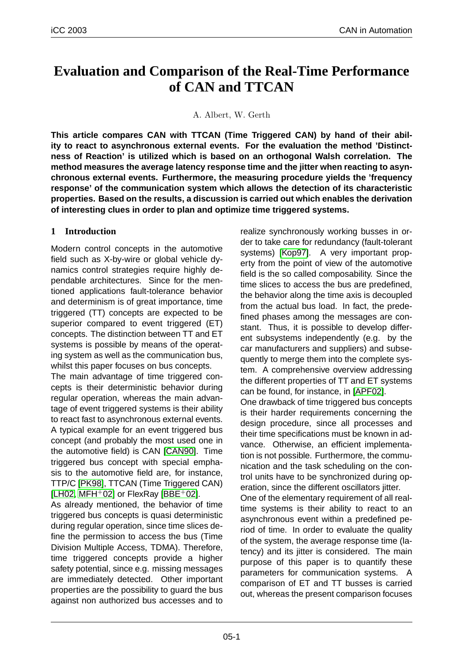# **Evaluation and Comparison of the Real-Time Performance of CAN and TTCAN**

A. Albert, W. Gerth

**This article compares CAN with TTCAN (Time Triggered CAN) by hand of their ability to react to asynchronous external events. For the evaluation the method 'Distinctness of Reaction' is utilized which is based on an orthogonal Walsh correlation. The method measures the average latency response time and the jitter when reacting to asynchronous external events. Furthermore, the measuring procedure yields the 'frequency response' of the communication system which allows the detection of its characteristic properties. Based on the results, a discussion is carried out which enables the derivation of interesting clues in order to plan and optimize time triggered systems.**

### **1 Introduction**

Modern control concepts in the automotive field such as X-by-wire or global vehicle dynamics control strategies require highly dependable architectures. Since for the mentioned applications fault-tolerance behavior and determinism is of great importance, time triggered (TT) concepts are expected to be superior compared to event triggered (ET) concepts. The distinction between TT and ET systems is possible by means of the operating system as well as the communication bus, whilst this paper focuses on bus concepts.

The main advantage of time triggered concepts is their deterministic behavior during regular operation, whereas the main advantage of event triggered systems is their ability to react fast to asynchronous external events. A typical example for an event triggered bus concept (and probably the most used one in the automotive field) is CAN [CAN90]. Time triggered bus concept with special emphasis to the automotive field are, for instance, TTP/C [PK98], TTCAN (Time Triggered CAN) [LH02, MFH $+$ 02] or FlexRay [[BBE](#page-7-0) $+$ 02].

As already mentioned, the behavior of time triggered bus concepts is quasi deterministic during [regular](#page-7-0) operation, since time slices de[fine the permiss](#page-7-0)ion to acces[s the bus](#page-7-0) (Time Division Multiple Access, TDMA). Therefore, time triggered concepts provide a higher safety potential, since e.g. missing messages are immediately detected. Other important properties are the possibility to guard the bus against non authorized bus accesses and to

realize synchronously working busses in order to take care for redundancy (fault-tolerant systems) [Kop97]. A very important property from the point of view of the automotive field is the so called composability. Since the time slices to access the bus are predefined, the behavi[or along](#page-7-0) the time axis is decoupled from the actual bus load. In fact, the predefined phases among the messages are constant. Thus, it is possible to develop different subsystems independently (e.g. by the car manufacturers and suppliers) and subsequently to merge them into the complete system. A comprehensive overview addressing the different properties of TT and ET systems can be found, for instance, in [APF02].

One drawback of time triggered bus concepts is their harder requirements concerning the design procedure, since all processes and their time specifications must [be know](#page-7-0)n in advance. Otherwise, an efficient implementation is not possible. Furthermore, the communication and the task scheduling on the control units have to be synchronized during operation, since the different oscillators jitter.

One of the elementary requirement of all realtime systems is their ability to react to an asynchronous event within a predefined period of time. In order to evaluate the quality of the system, the average response time (latency) and its jitter is considered. The main purpose of this paper is to quantify these parameters for communication systems. A comparison of ET and TT busses is carried out, whereas the present comparison focuses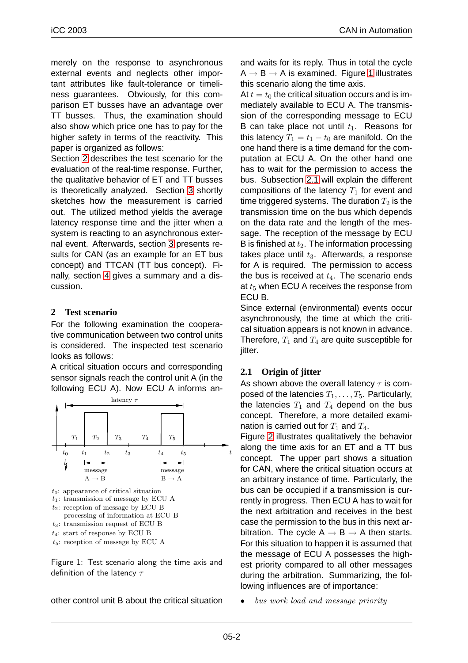<span id="page-1-0"></span>merely on the response to asynchronous external events and neglects other important attributes like fault-tolerance or timeliness guarantees. Obviously, for this comparison ET busses have an advantage over TT busses. Thus, the examination should also show which price one has to pay for the higher safety in terms of the reactivity. This paper is organized as follows:

Section 2 describes the test scenario for the evaluation of the real-time response. Further, the qualitative behavior of ET and TT busses is theoretically analyzed. Section 3 shortly sketches how the measurement is carried out. The utilized method yields the average latency response time and the jitter when a system is reacting to an asynchron[ou](#page-3-0)s external event. Afterwards, section 3 presents results for CAN (as an example for an ET bus concept) and TTCAN (TT bus concept). Finally, section 4 gives a summ[ar](#page-3-0)y and a discussion.

#### **2 Test scen[ari](#page-6-0)o**

For the following examination the cooperative communication between two control units is considered. The inspected test scenario looks as follows:

A critical situation occurs and corresponding sensor signals reach the control unit A (in the following ECU A). Now ECU A informs an-



 $t_4$ : start of response by ECU B

 $t_5$ : reception of message by ECU A

Figure 1: Test scenario along the time axis and definition of the latency  $\tau$ 

other control unit B about the critical situation

and waits for its reply. Thus in total the cycle  $A \rightarrow B \rightarrow A$  is examined. Figure 1 illustrates this scenario along the time axis.

At  $t = t_0$  the critical situation occurs and is immediately available to ECU A. The transmission of the corresponding message to ECU B can take place not until  $t_1$ . Reasons for this latency  $T_1 = t_1 - t_0$  are manifold. On the one hand there is a time demand for the computation at ECU A. On the other hand one has to wait for the permission to access the bus. Subsection 2.1 will explain the different compositions of the latency  $T_1$  for event and time triggered systems. The duration  $T_2$  is the transmission time on the bus which depends on the data rate and the length of the message. The reception of the message by ECU B is finished at  $t_2$ . The information processing takes place until  $t_3$ . Afterwards, a response for A is required. The permission to access the bus is received at  $t_4$ . The scenario ends at  $t_5$  when ECU A receives the response from ECU B.

Since external (environmental) events occur asynchronously, the time at which the critical situation appears is not known in advance. Therefore,  $T_1$  and  $T_4$  are quite susceptible for jitter.

### **2.1 Origin of jitter**

As shown above the overall latency  $\tau$  is composed of the latencies  $T_1, \ldots, T_5$ . Particularly, the latencies  $T_1$  and  $T_4$  depend on the bus concept. Therefore, a more detailed examination is carried out for  $T_1$  and  $T_4$ .

Figure 2 illustrates qualitatively the behavior along the time axis for an ET and a TT bus concept. The upper part shows a situation for CAN, where the critical situation occurs at an arbi[tra](#page-2-0)ry instance of time. Particularly, the bus can be occupied if a transmission is currently in progress. Then ECU A has to wait for the next arbitration and receives in the best case the permission to the bus in this next arbitration. The cycle  $A \rightarrow B \rightarrow A$  then starts. For this situation to happen it is assumed that the message of ECU A possesses the highest priority compared to all other messages during the arbitration. Summarizing, the following influences are of importance:

bus work load and message priority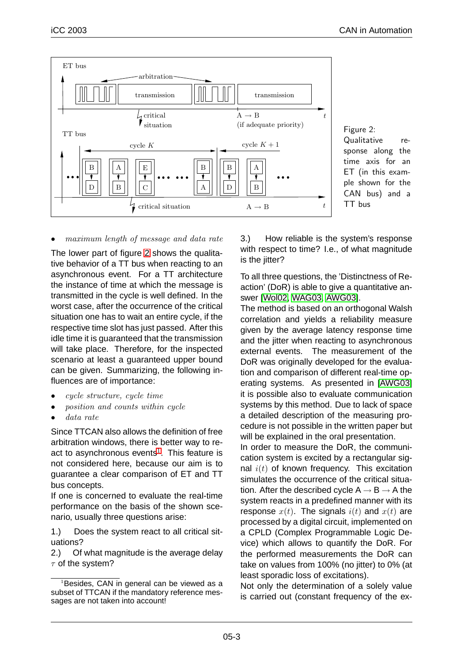<span id="page-2-0"></span>

Figure 2: Qualitative response along the time axis for an ET (in this example shown for the CAN bus) and a TT bus

#### • maximum length of message and data rate

The lower part of figure 2 shows the qualitative behavior of a TT bus when reacting to an asynchronous event. For a TT architecture the instance of time at which the message is transmitted in the cycle is well defined. In the worst case, after the occurrence of the critical situation one has to wait an entire cycle, if the respective time slot has just passed. After this idle time it is guaranteed that the transmission will take place. Therefore, for the inspected scenario at least a guaranteed upper bound can be given. Summarizing, the following influences are of importance:

- *cycle structure, cycle time*
- position and counts within cycle
- data rate

Since TTCAN also allows the definition of free arbitration windows, there is better way to react to asynchronous events<sup>1</sup>. This feature is not considered here, because our aim is to guarantee a clear comparison of ET and TT bus concepts.

If one is concerned to evaluate the real-time performance on the basis of the shown scenario, usually three questions arise:

1.) Does the system react to all critical situations?

2.) Of what magnitude is the average delay  $\tau$  of the system?

3.) How reliable is the system's response with respect to time? I.e., of what magnitude is the jitter?

To all three questions, the 'Distinctness of Reaction' (DoR) is able to give a quantitative answer [Wol02, WAG03, AWG03].

The method is based on an orthogonal Walsh correlation and yields a reliability measure given by the average latency response time and t[he jitter when reacting to](#page-7-0) asynchronous external events. The measurement of the DoR was originally developed for the evaluation and comparison of different real-time operating systems. As presented in [AWG03] it is possible also to evaluate communication systems by this method. Due to lack of space a detailed description of the measuring procedure is not possible in the written [paper but](#page-7-0) will be explained in the oral presentation.

In order to measure the DoR, the communication system is excited by a rectangular signal  $i(t)$  of known frequency. This excitation simulates the occurrence of the critical situation. After the described cycle  $A \rightarrow B \rightarrow A$  the system reacts in a predefined manner with its response  $x(t)$ . The signals  $i(t)$  and  $x(t)$  are processed by a digital circuit, implemented on a CPLD (Complex Programmable Logic Device) which allows to quantify the DoR. For the performed measurements the DoR can take on values from 100% (no jitter) to 0% (at least sporadic loss of excitations).

Not only the determination of a solely value is carried out (constant frequency of the ex-

 $1B$ Besides, CAN in general can be viewed as a subset of TTCAN if the mandatory reference messages are not taken into account!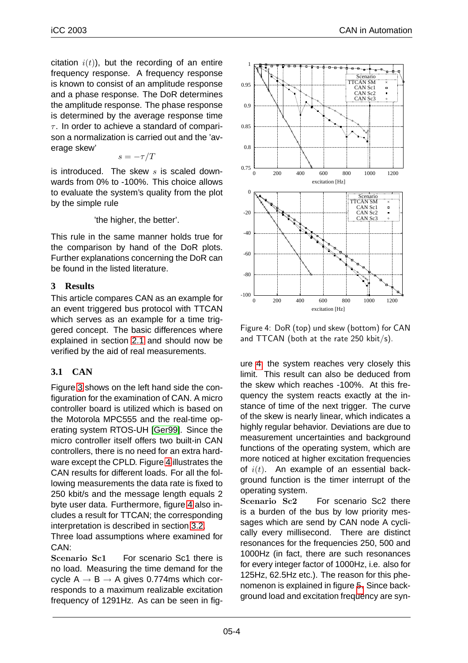<span id="page-3-0"></span>citation  $i(t)$ ), but the recording of an entire frequency response. A frequency response is known to consist of an amplitude response and a phase response. The DoR determines the amplitude response. The phase response is determined by the average response time  $\tau$ . In order to achieve a standard of comparison a normalization is carried out and the 'average skew'

$$
s=-\tau/T
$$

is introduced. The skew  $s$  is scaled downwards from 0% to -100%. This choice allows to evaluate the system's quality from the plot by the simple rule

'the higher, the better'.

This rule in the same manner holds true for the comparison by hand of the DoR plots. Further explanations concerning the DoR can be found in the listed literature.

## **3 Results**

This article compares CAN as an example for an event triggered bus protocol with TTCAN which serves as an example for a time triggered concept. The basic differences where explained in section 2.1 and should now be verified by the aid of real measurements.

# **3.1 CAN**

Figure 3 shows on th[e lef](#page-1-0)t hand side the configuration for the examination of CAN. A micro controller board is utilized which is based on the Motorola MPC555 and the real-time operatin[g s](#page-4-0)ystem RTOS-UH [Ger99]. Since the micro controller itself offers two built-in CAN controllers, there is no need for an extra hardware except the CPLD. Figure 4 illustrates the CAN results for different lo[ads. Fo](#page-7-0)r all the following measurements the data rate is fixed to 250 kbit/s and the message length equals 2 byte user data. Furthermore, figure 4 also includes a result for TTCAN; the corresponding interpretation is described in section 3.2.

Three load assumptions where examined for CAN:

Scenario Sc1 For scenario Sc1 there is no load. Measuring the time dema[nd fo](#page-4-0)r the cycle  $A \rightarrow B \rightarrow A$  gives 0.774ms which corresponds to a maximum realizable excitation frequency of 1291Hz. As can be seen in fig-



Figure 4: DoR (top) und skew (bottom) for CAN and TTCAN (both at the rate 250 kbit/s).

ure 4, the system reaches very closely this limit. This result can also be deduced from the skew which reaches -100%. At this frequency the system reacts exactly at the instance of time of the next trigger. The curve of the skew is nearly linear, which indicates a highly regular behavior. Deviations are due to measurement uncertainties and background functions of the operating system, which are more noticed at higher excitation frequencies of  $i(t)$ . An example of an essential background function is the timer interrupt of the operating system.

Scenario Sc<sub>2</sub> For scenario Sc<sub>2</sub> there is a burden of the bus by low priority messages which are send by CAN node A cyclically every millisecond. There are distinct resonances for the frequencies 250, 500 and 1000Hz (in fact, there are such resonances for every integer factor of 1000Hz, i.e. also for 125Hz, 62.5Hz etc.). The reason for this phenomenon is explained in figure 5. Since background load and excitation frequency are syn-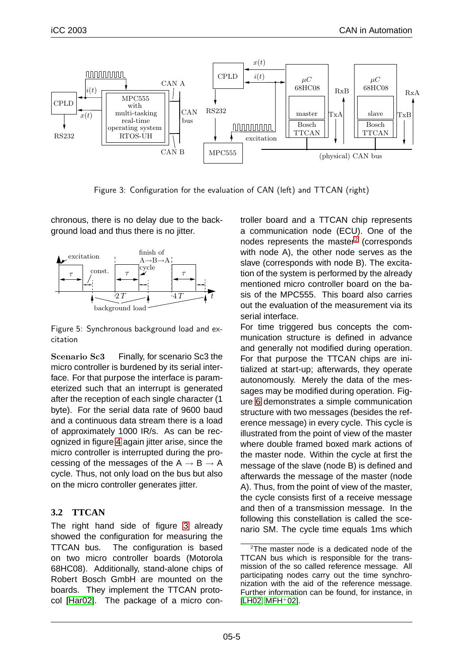<span id="page-4-0"></span>

Figure 3: Configuration for the evaluation of CAN (left) and TTCAN (right)

chronous, there is no delay due to the background load and thus there is no jitter.



Figure 5: Synchronous background load and excitation

Scenario Sc3 Finally, for scenario Sc3 the micro controller is burdened by its serial interface. For that purpose the interface is parameterized such that an interrupt is generated after the reception of each single character (1 byte). For the serial data rate of 9600 baud and a continuous data stream there is a load of approximately 1000 IR/s. As can be recognized in figure 4 again jitter arise, since the micro controller is interrupted during the processing of the messages of the  $A \rightarrow B \rightarrow A$ cycle. Thus, not only load on the bus but also on the micro con[tro](#page-3-0)ller generates jitter.

# **3.2 TTCAN**

The right hand side of figure 3 already showed the configuration for measuring the TTCAN bus. The configuration is based on two micro controller boards (Motorola 68HC08). Additionally, stand-alone chips of Robert Bosch GmbH are mounted on the boards. They implement the TTCAN protocol [Har02]. The package of a micro controller board and a TTCAN chip represents a communication node (ECU). One of the nodes represents the master<sup>2</sup> (corresponds with node A), the other node serves as the slave (corresponds with node B). The excitation of the system is performed by the already mentioned micro controller board on the basis of the MPC555. This board also carries out the evaluation of the measurement via its serial interface.

For time triggered bus concepts the communication structure is defined in advance and generally not modified during operation. For that purpose the TTCAN chips are initialized at start-up; afterwards, they operate autonomously. Merely the data of the messages may be modified during operation. Figure 6 demonstrates a simple communication structure with two messages (besides the reference message) in every cycle. This cycle is illustrated from the point of view of the master wh[ere](#page-5-0) double framed boxed mark actions of the master node. Within the cycle at first the message of the slave (node B) is defined and afterwards the message of the master (node A). Thus, from the point of view of the master, the cycle consists first of a receive message and then of a transmission message. In the following this constellation is called the scenario SM. The cycle time equals 1ms which

<sup>&</sup>lt;sup>2</sup>The master node is a dedicated node of the TTCAN bus which is responsible for the transmission of the so called reference message. All participating nodes carry out the time synchronization with the aid of the reference message. Further information can be found, for instance, in  $[LHO2, MFH<sup>+</sup>02].$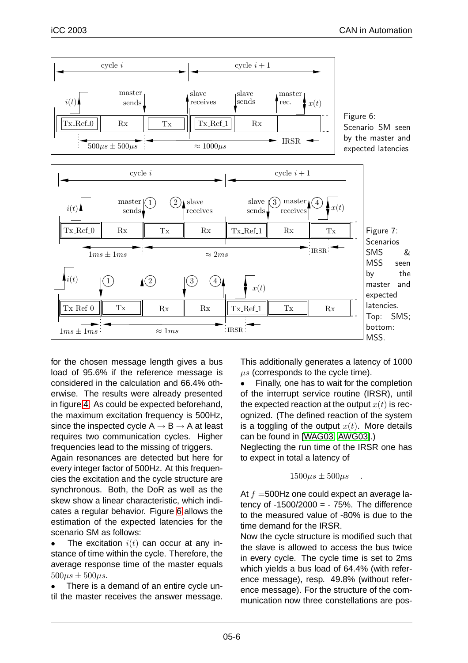<span id="page-5-0"></span>

for the chosen message length gives a bus load of 95.6% if the reference message is considered in the calculation and 66.4% otherwise. The results were already presented in figure 4. As could be expected beforehand, the maximum excitation frequency is 500Hz, since the inspected cycle  $A \rightarrow B \rightarrow A$  at least requires two communication cycles. Higher frequen[cie](#page-3-0)s lead to the missing of triggers.

Again resonances are detected but here for every integer factor of 500Hz. At this frequencies the excitation and the cycle structure are synchronous. Both, the DoR as well as the skew show a linear characteristic, which indicates a regular behavior. Figure 6 allows the estimation of the expected latencies for the scenario SM as follows:

• The excitation  $i(t)$  can occur at any instance of time within the cycle. Therefore, the average response time of the master equals  $500\mu s \pm 500\mu s$ .

• There is a demand of an entire cycle until the master receives the answer message. This additionally generates a latency of 1000  $\mu s$  (corresponds to the cycle time).

• Finally, one has to wait for the completion of the interrupt service routine (IRSR), until the expected reaction at the output  $x(t)$  is recognized. (The defined reaction of the system is a toggling of the output  $x(t)$ . More details can be found in [WAG03, AWG03].)

Neglecting the run time of the IRSR one has to expect in total a latency of

$$
1500\mu s \pm 500\mu s \quad .
$$

At  $f = 500$ Hz one could expect an average latency of  $-1500/2000 = -75%$ . The difference to the measured value of -80% is due to the time demand for the IRSR.

Now the cycle structure is modified such that the slave is allowed to access the bus twice in every cycle. The cycle time is set to 2ms which yields a bus load of 64.4% (with reference message), resp. 49.8% (without reference message). For the structure of the communication now three constellations are pos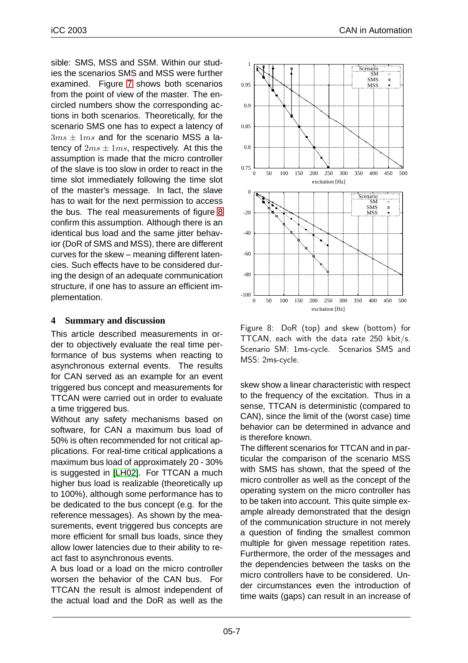<span id="page-6-0"></span>sible: SMS, MSS and SSM. Within our studies the scenarios SMS and MSS were further examined. Figure 7 shows both scenarios from the point of view of the master. The encircled numbers show the corresponding actions in both scenarios. Theoretically, for the scenario SMS one [ha](#page-5-0)s to expect a latency of  $3ms \pm 1ms$  and for the scenario MSS a latency of  $2ms \pm 1ms$ , respectively. At this the assumption is made that the micro controller of the slave is too slow in order to react in the time slot immediately following the time slot of the master's message. In fact, the slave has to wait for the next permission to access the bus. The real measurements of figure 8 confirm this assumption. Although there is an identical bus load and the same jitter behavior (DoR of SMS and MSS), there are different curves for the skew – meaning different latencies. Such effects have to be considered during the design of an adequate communication structure, if one has to assure an efficient implementation.

## **4 Summary and discussion**

This article described measurements in order to objectively evaluate the real time performance of bus systems when reacting to asynchronous external events. The results for CAN served as an example for an event triggered bus concept and measurements for TTCAN were carried out in order to evaluate a time triggered bus.

Without any safety mechanisms based on software, for CAN a maximum bus load of 50% is often recommended for not critical applications. For real-time critical applications a maximum bus load of approximately 20 - 30% is suggested in [LH02]. For TTCAN a much higher bus load is realizable (theoretically up to 100%), although some performance has to be dedicated to the bus concept (e.g. for the reference mess[ages\).](#page-7-0) As shown by the measurements, event triggered bus concepts are more efficient for small bus loads, since they allow lower latencies due to their ability to react fast to asynchronous events.

A bus load or a load on the micro controller worsen the behavior of the CAN bus. For TTCAN the result is almost independent of the actual load and the DoR as well as the



Figure 8: DoR (top) and skew (bottom) for TTCAN, each with the data rate 250 kbit/s. Scenario SM: 1ms-cycle. Scenarios SMS and MSS: 2ms-cycle.

skew show a linear characteristic with respect to the frequency of the excitation. Thus in a sense, TTCAN is deterministic (compared to CAN), since the limit of the (worst case) time behavior can be determined in advance and is therefore known.

The different scenarios for TTCAN and in particular the comparison of the scenario MSS with SMS has shown, that the speed of the micro controller as well as the concept of the operating system on the micro controller has to be taken into account. This quite simple example already demonstrated that the design of the communication structure in not merely a question of finding the smallest common multiple for given message repetition rates. Furthermore, the order of the messages and the dependencies between the tasks on the micro controllers have to be considered. Under circumstances even the introduction of time waits (gaps) can result in an increase of